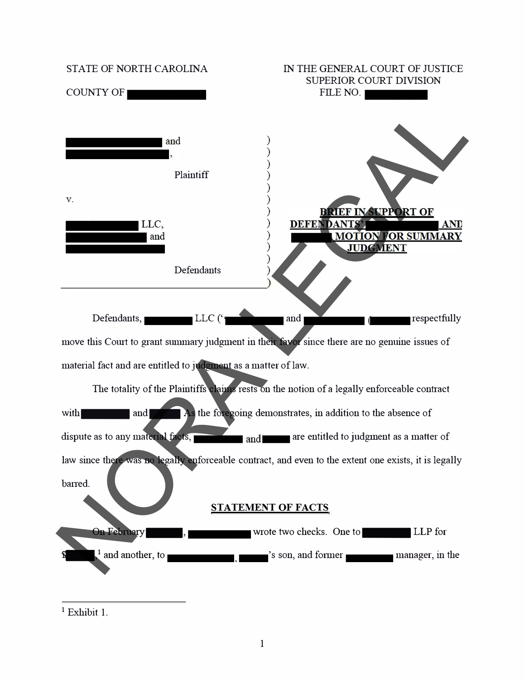

**<sup>1</sup>**Exhibit 1.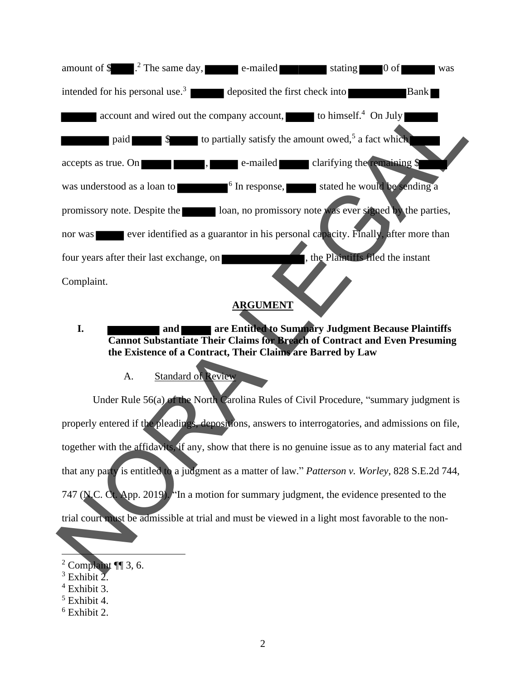![](_page_1_Figure_0.jpeg)

# **ARGUMENT**

- **I. and are Entitled to Summary Judgment Because Plaintiffs Cannot Substantiate Their Claims for Breach of Contract and Even Presuming the Existence of a Contract, Their Claims are Barred by Law**
	- A. Standard of Review

Under Rule 56(a) of the North Carolina Rules of Civil Procedure, "summary judgment is properly entered if the pleadings, depositions, answers to interrogatories, and admissions on file, together with the affidavits, if any, show that there is no genuine issue as to any material fact and that any party is entitled to a judgment as a matter of law." *Patterson v. Worley*, 828 S.E.2d 744, 747 (N.C. Ct. App. 2019). "In a motion for summary judgment, the evidence presented to the trial court must be admissible at trial and must be viewed in a light most favorable to the non-

 $2$  Complaint ¶ 3, 6.

 $3$  Exhibit 2.

 $4$  Exhibit 3.

 $<sup>5</sup>$  Exhibit 4.</sup>

 $6$  Exhibit 2.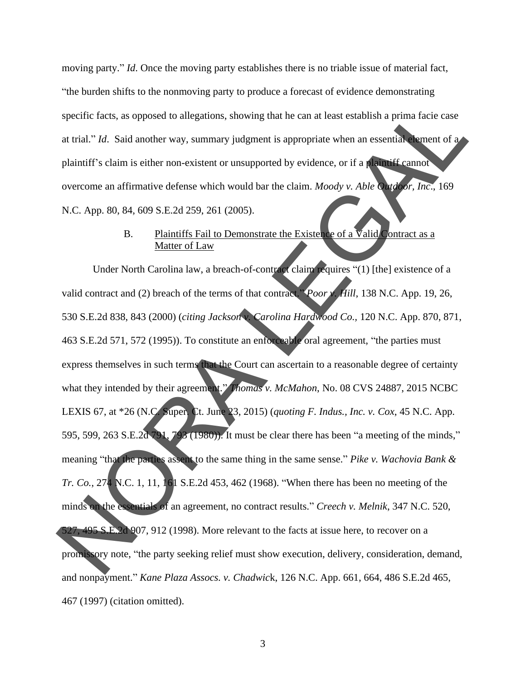moving party." *Id*. Once the moving party establishes there is no triable issue of material fact, "the burden shifts to the nonmoving party to produce a forecast of evidence demonstrating specific facts, as opposed to allegations, showing that he can at least establish a prima facie case at trial." *Id*. Said another way, summary judgment is appropriate when an essential element of a plaintiff's claim is either non-existent or unsupported by evidence, or if a plaintiff cannot overcome an affirmative defense which would bar the claim. *Moody v. Able Outdoor, Inc*., 169 N.C. App. 80, 84, 609 S.E.2d 259, 261 (2005).

#### B. Plaintiffs Fail to Demonstrate the Existence of a  $\overline{V}$ alid Contract as a Matter of Law

Under North Carolina law, a breach-of-contract claim requires "(1) [the] existence of a valid contract and (2) breach of the terms of that contract." *Poor v. Hill*, 138 N.C. App. 19, 26, 530 S.E.2d 838, 843 (2000) (*citing Jackson v. Carolina Hardwood Co.,* 120 N.C. App. 870, 871, 463 S.E.2d 571, 572 (1995)). To constitute an enforceable oral agreement, "the parties must express themselves in such terms that the Court can ascertain to a reasonable degree of certainty what they intended by their agreement." *Thomas v. McMahon*, No. 08 CVS 24887, 2015 NCBC LEXIS 67, at \*26 (N.C. Super. Ct. June 23, 2015) (*quoting F. Indus., Inc. v. Cox*, 45 N.C. App. 595, 599, 263 S.E.2d 791, 793 (1980)). It must be clear there has been "a meeting of the minds," meaning "that the parties assent to the same thing in the same sense." *Pike v. Wachovia Bank & Tr. Co.*, 274 N.C. 1, 11, 161 S.E.2d 453, 462 (1968). "When there has been no meeting of the minds on the essentials of an agreement, no contract results." *Creech v. Melnik*, 347 N.C. 520, 527, 495 S.E.2d 907, 912 (1998). More relevant to the facts at issue here, to recover on a promissory note, "the party seeking relief must show execution, delivery, consideration, demand, and nonpayment." *Kane Plaza Assocs. v. Chadwic*k, 126 N.C. App. 661, 664, 486 S.E.2d 465, 467 (1997) (citation omitted). specific facts, as opposed to allegations, showing that he can at least establish a prima facie case<br>at trial." *Id.* Said another way, summary judgment is appropriate when an essential when the distribution<br>plaintiff's c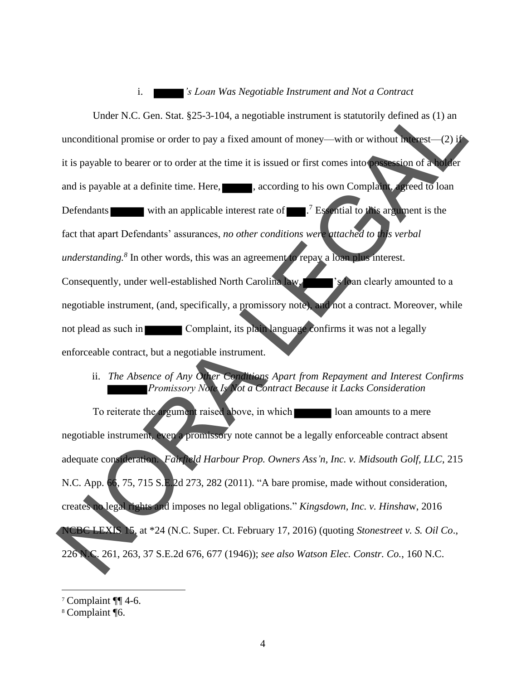#### i. *'s Loan Was Negotiable Instrument and Not a Contract*

Under N.C. Gen. Stat. §25-3-104, a negotiable instrument is statutorily defined as (1) an unconditional promise or order to pay a fixed amount of money—with or without interest—(2) if it is payable to bearer or to order at the time it is issued or first comes into possession of a holder and is payable at a definite time. Here, succeeding to his own Complaint, agreed to loan Defendants with an applicable interest rate of  $\blacksquare$ .<sup>7</sup> Essential to this argument is the fact that apart Defendants' assurances, *no other conditions were attached to this verbal understanding.<sup>8</sup>* In other words, this was an agreement to repay a loan plus interest. Consequently, under well-established North Carolina law,  $\sim$  's loan clearly amounted to a negotiable instrument, (and, specifically, a promissory note), and not a contract. Moreover, while not plead as such in **Complaint**, its plain language confirms it was not a legally enforceable contract, but a negotiable instrument. Under N.C. Gen. Stat. §25-3-104, a negotiable instrument is statutorily defined as (1) an<br>unconditional promise or order to pay a fixed amount of money—with or without in  $cos(-2x)$ <br>it is payable to bearer or to order at the

## ii. *The Absence of Any Other Conditions Apart from Repayment and Interest Confirms Promissory Note Is Not a Contract Because it Lacks Consideration*

To reiterate the argument raised above, in which loan amounts to a mere negotiable instrument, even a promissory note cannot be a legally enforceable contract absent adequate consideration. *Fairfield Harbour Prop. Owners Ass'n, Inc. v. Midsouth Golf, LLC*, 215 N.C. App. 66, 75, 715 S.E.2d 273, 282 (2011). "A bare promise, made without consideration, creates no legal rights and imposes no legal obligations." *Kingsdown, Inc. v. Hinsha*w, 2016 NCBC LEXIS 15, at \*24 (N.C. Super. Ct. February 17, 2016) (quoting *Stonestreet v. S. Oil Co*., 226 N.C. 261, 263, 37 S.E.2d 676, 677 (1946)); *see also Watson Elec. Constr. Co.*, 160 N.C.

<sup>7</sup> Complaint ¶¶ 4-6.

<sup>8</sup> Complaint ¶6.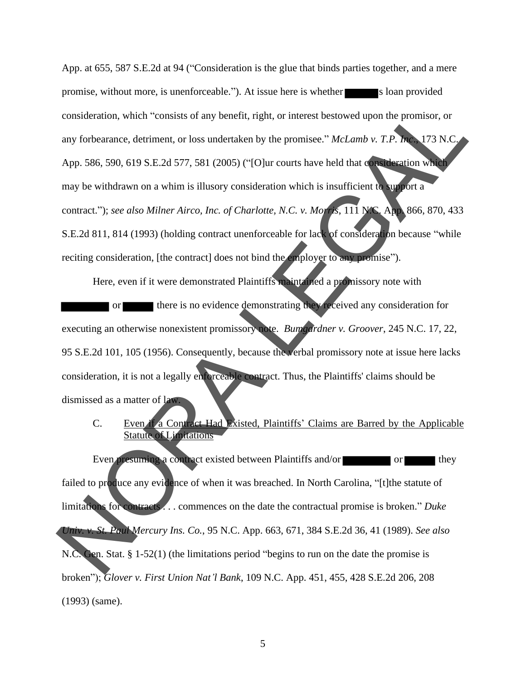App. at 655, 587 S.E.2d at 94 ("Consideration is the glue that binds parties together, and a mere promise, without more, is unenforceable."). At issue here is whether s loan provided consideration, which "consists of any benefit, right, or interest bestowed upon the promisor, or any forbearance, detriment, or loss undertaken by the promisee." *McLamb v. T.P. Inc*., 173 N.C. App. 586, 590, 619 S.E.2d 577, 581 (2005) ("[O]ur courts have held that consideration which may be withdrawn on a whim is illusory consideration which is insufficient to support a contract."); *see also Milner Airco, Inc. of Charlotte, N.C. v. Morris*, 111 N.C. App. 866, 870, 433 S.E.2d 811, 814 (1993) (holding contract unenforceable for lack of consideration because "while reciting consideration, [the contract] does not bind the employer to any promise"). Fit, right, or interest bestowed upon the promisor, or<br>ken by the promisee."  $McLamb v$ . T.P. Inc. 173 N.C.<br>("[O]ur courts have held that consideration which<br>msideration which is insufficient to support a<br>character which is i

Here, even if it were demonstrated Plaintiffs maintained a promissory note with or there is no evidence demonstrating they received any consideration for executing an otherwise nonexistent promissory note. *Bumgardner v. Groover*, 245 N.C. 17, 22, 95 S.E.2d 101, 105 (1956). Consequently, because the verbal promissory note at issue here lacks consideration, it is not a legally enforceable contract. Thus, the Plaintiffs' claims should be dismissed as a matter of law.

C. Even if a Contract Had Existed, Plaintiffs' Claims are Barred by the Applicable Statute of Limitations

Even presuming a contract existed between Plaintiffs and/or or or or they failed to produce any evidence of when it was breached. In North Carolina, "[t] the statute of limitations for contracts . . . commences on the date the contractual promise is broken." *Duke Univ. v. St. Paul Mercury Ins. Co.*, 95 N.C. App. 663, 671, 384 S.E.2d 36, 41 (1989). *See also* N.C. Gen. Stat. § 1-52(1) (the limitations period "begins to run on the date the promise is broken"); *Glover v. First Union Nat'l Bank*, 109 N.C. App. 451, 455, 428 S.E.2d 206, 208 (1993) (same) . 95 S.E.2d 101, 105 (1956). Consequently, because the version consideration, it is not a legally encoreable contract. The dismissed as a matter of law.<br>
C. Even if a Contract Had Existed, Plaintiff<br>
Statute of Linnations<br>
E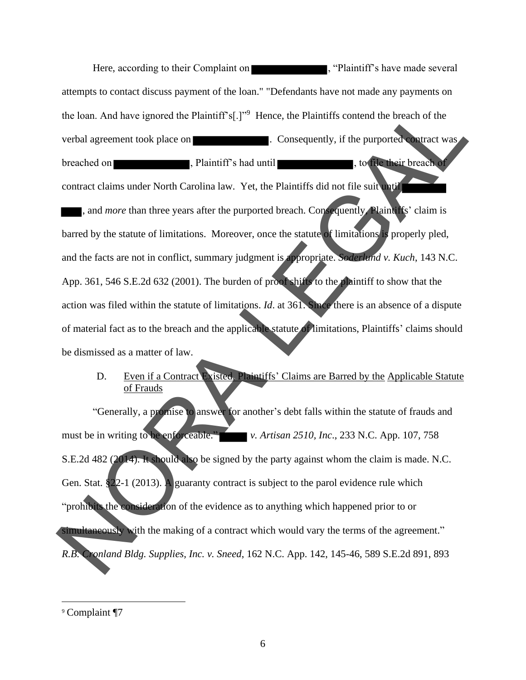Here, according to their Complaint on , "Plaintiff's have made several attempts to contact discuss payment of the loan." "Defendants have not made any payments on the loan. And have ignored the Plaintiff's[.]"<sup>9</sup> Hence, the Plaintiffs contend the breach of the verbal agreement took place on **EXECUTE:** Consequently, if the purported contract was breached on , Plaintiff's had until , to file their breach of contract claims under North Carolina law. Yet, the Plaintiffs did not file suit until , and *more* than three years after the purported breach. Consequently, Plaintiffs' claim is barred by the statute of limitations. Moreover, once the statute of limitations is properly pled, and the facts are not in conflict, summary judgment is appropriate. *Soderlund v. Kuch*, 143 N.C. App. 361, 546 S.E.2d 632 (2001). The burden of proof shifts to the plaintiff to show that the action was filed within the statute of limitations. *Id*. at 361. Since there is an absence of a dispute of material fact as to the breach and the applicable statute of limitations, Plaintiffs' claims should be dismissed as a matter of law. the loan. And have ignored the Plaintiff's  $|.^{\circ}$  21 Hence, the Plaintiff's contend the breach of the<br>verbal agreement took place on **a**. Plaintiff's had until<br>**a**. The purported on **a** Plaintiff's had until<br>contract cla

### D. Even if a Contract Existed, Plaintiffs' Claims are Barred by the Applicable Statute of Frauds

"Generally, a promise to answer for another's debt falls within the statute of frauds and must be in writing to be enforceable." *v. Artisan 2510, Inc*., 233 N.C. App. 107, 758 S.E.2d 482 (2014). It should also be signed by the party against whom the claim is made. N.C. Gen. Stat. §22-1 (2013). A guaranty contract is subject to the parol evidence rule which "prohibits the consideration of the evidence as to anything which happened prior to or simultaneously with the making of a contract which would vary the terms of the agreement." *R.B. Cronland Bldg. Supplies, Inc. v. Sneed*, 162 N.C. App. 142, 145-46, 589 S.E.2d 891, 893

<sup>9</sup> Complaint ¶7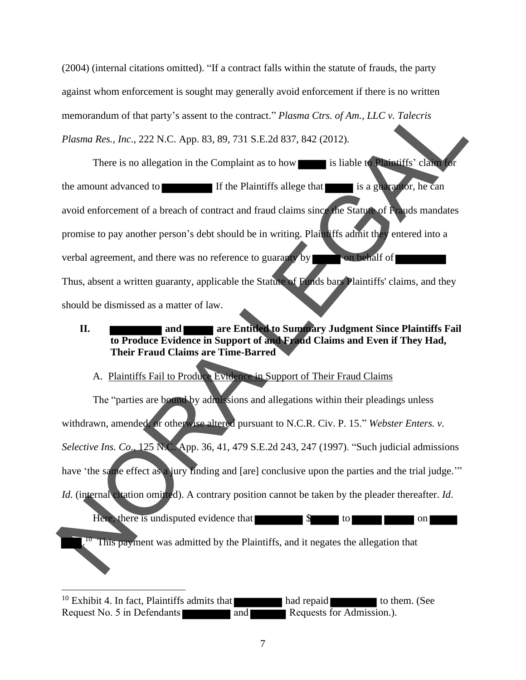(2004) (internal citations omitted). "If a contract falls within the statute of frauds, the party against whom enforcement is sought may generally avoid enforcement if there is no written memorandum of that party's assent to the contract." *Plasma Ctrs. of Am., LLC v. Talecris Plasma Res., Inc*., 222 N.C. App. 83, 89, 731 S.E.2d 837, 842 (2012).

There is no allegation in the Complaint as to how is liable to Plaintiffs' claim for the amount advanced to If the Plaintiffs allege that is a guarantor, he can avoid enforcement of a breach of contract and fraud claims since the Statute of Frauds mandates promise to pay another person's debt should be in writing. Plaintiffs admit they entered into a verbal agreement, and there was no reference to guaranty by **the set of the set of the set of the set of the set of the set of the set of the set of the set of the set of the set of the set of the set of the set of the set** Thus, absent a written guaranty, applicable the Statute of Funds bars Plaintiffs' claims, and they should be dismissed as a matter of law. memorandum of that party's assent to the contract." Platoma Cres. of Am., LLC w. Talecris<br>
Platoma Res., Inc., 222 N.C. App. 83, 89, 731 S.E.2d 837, 842 (2012).<br>
There is no allegation in the Complaint as to how is liable

# **II. and <b>are Entitled to Summary Judgment Since Plaintiffs Fail to Produce Evidence in Support of and Fraud Claims and Even if They Had, Their Fraud Claims are Time-Barred**

# A. Plaintiffs Fail to Produce Evidence in Support of Their Fraud Claims

The "parties are bound by admissions and allegations within their pleadings unless withdrawn, amended, or otherwise altered pursuant to N.C.R. Civ. P. 15." *Webster Enters. v. Selective Ins. Co*., 125 N.C. App. 36, 41, 479 S.E.2d 243, 247 (1997). "Such judicial admissions have 'the same effect as a jury finding and [are] conclusive upon the parties and the trial judge." *Id.* (internal citation omitted). A contrary position cannot be taken by the pleader thereafter. *Id.* Here, there is undisputed evidence that  $\sim$   $\sim$  to  $\sim$  on

<sup>10</sup> This payment was admitted by the Plaintiffs, and it negates the allegation that

<sup>10</sup> Exhibit 4. In fact, Plaintiffs admits that  $\blacksquare$  had repaid to them. (See Request No. 5 in Defendants and and Requests for Admission.).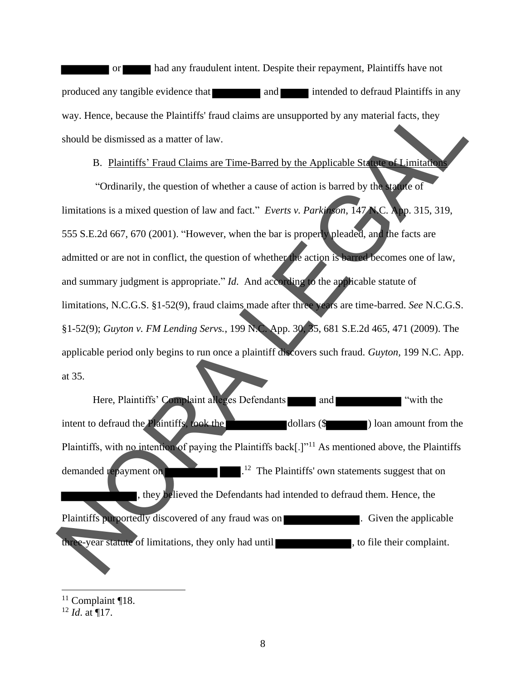or had any fraudulent intent. Despite their repayment, Plaintiffs have not produced any tangible evidence that and intended to defraud Plaintiffs in any way. Hence, because the Plaintiffs' fraud claims are unsupported by any material facts, they should be dismissed as a matter of law.

#### B. Plaintiffs' Fraud Claims are Time-Barred by the Applicable Statute of Limitations

"Ordinarily, the question of whether a cause of action is barred by the statute of limitations is a mixed question of law and fact." *Everts v. Parkinson*, 147 N.C. App. 315, 319, 555 S.E.2d 667, 670 (2001). "However, when the bar is properly pleaded, and the facts are admitted or are not in conflict, the question of whether the action is barred becomes one of law, and summary judgment is appropriate." *Id*. And according to the applicable statute of limitations, N.C.G.S. §1-52(9), fraud claims made after three years are time-barred. *See* N.C.G.S. §1-52(9); *Guyton v. FM Lending Servs.*, 199 N.C. App. 30, 35, 681 S.E.2d 465, 471 (2009). The applicable period only begins to run once a plaintiff discovers such fraud. *Guyton,* 199 N.C. App. at 35. way. Hence, because the Plaintiff's francd claims are unsupported by any material facts, they<br>should be dismissed as a matter of law.<br>B. Plaintiffs' Fraud Claims are Time-Barred by the Applicable States of Limitation<br>"Ord

Here, Plaintiffs' Complaint alleges Defendants and The "with the intent to defraud the Plaintiffs, took the dollars  $(\$$  ) loan amount from the Plaintiffs, with no intention of paying the Plaintiffs back[.]"<sup>11</sup> As mentioned above, the Plaintiffs demanded repayment on  $1<sup>12</sup>$  The Plaintiffs' own statements suggest that on , they believed the Defendants had intended to defraud them. Hence, the Plaintiffs purportedly discovered of any fraud was on **Fig. 3. Community** B. Given the applicable three-year statute of limitations, they only had until , to file their complaint.

 $11$  Complaint ¶18.

<sup>12</sup> *Id*. at ¶17.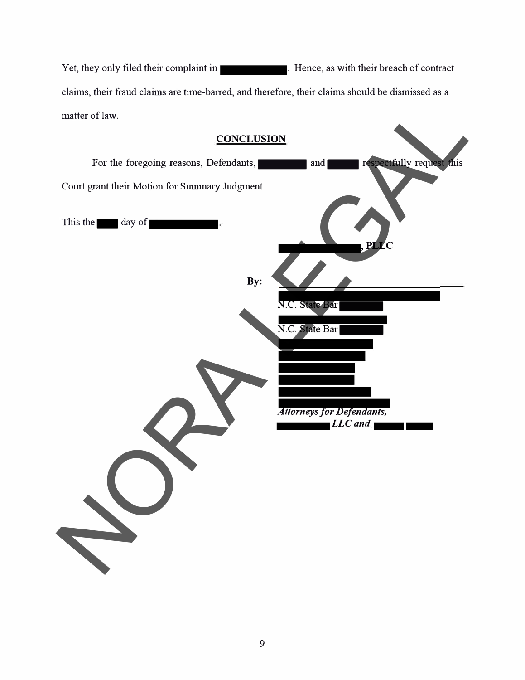Yet, they only filed their complaint in **Exercía Exercía Exercía Exercía Exercía Exercía Exercía Exercía Exercí** claims, their fraud claims are time-baned, and therefore, their claims should be dismissed as a matter of law.

| matter of law.                                                             |
|----------------------------------------------------------------------------|
| <b>CONCLUSION</b>                                                          |
| respectfully request this<br>For the foregoing reasons, Defendants,<br>and |
| Court grant their Motion for Summary Judgment.                             |
| This the<br>day of<br>$,$ PLLC                                             |
| By:                                                                        |
| N.C. State Bar                                                             |
| N.C. State Bar                                                             |
|                                                                            |
|                                                                            |
| <b>Attorneys for Defendants,</b>                                           |
| LLC and                                                                    |
|                                                                            |
|                                                                            |
|                                                                            |
|                                                                            |
|                                                                            |
|                                                                            |